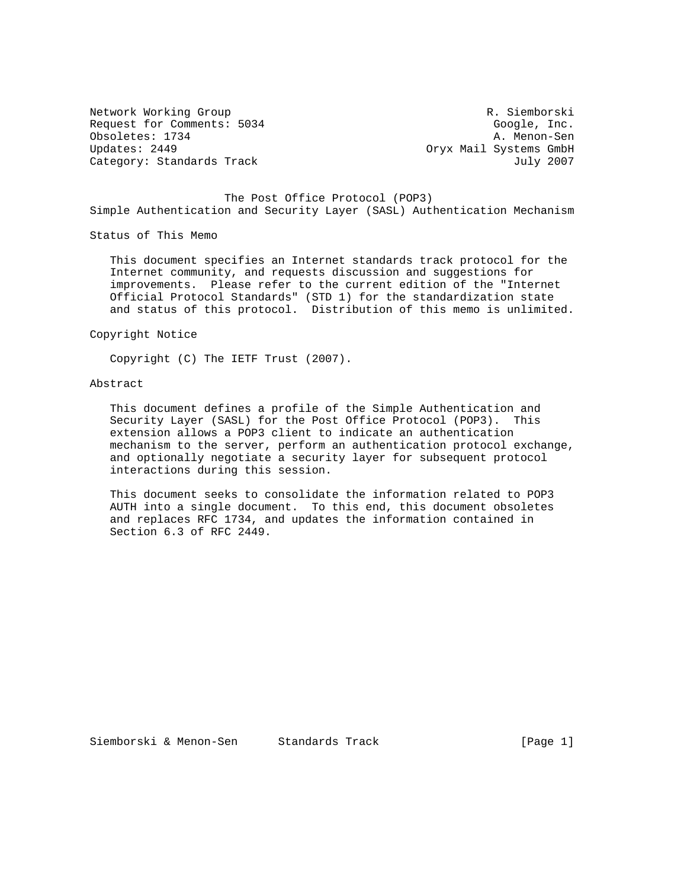Network Working Group **R. Siemborski** Request for Comments: 5034 Google, Inc. Obsoletes: 1734 A. Menon-Sen Updates: 2449 Oryx Mail Systems GmbH Category: Standards Track July 2007

 The Post Office Protocol (POP3) Simple Authentication and Security Layer (SASL) Authentication Mechanism

Status of This Memo

 This document specifies an Internet standards track protocol for the Internet community, and requests discussion and suggestions for improvements. Please refer to the current edition of the "Internet Official Protocol Standards" (STD 1) for the standardization state and status of this protocol. Distribution of this memo is unlimited.

Copyright Notice

Copyright (C) The IETF Trust (2007).

# Abstract

 This document defines a profile of the Simple Authentication and Security Layer (SASL) for the Post Office Protocol (POP3). This extension allows a POP3 client to indicate an authentication mechanism to the server, perform an authentication protocol exchange, and optionally negotiate a security layer for subsequent protocol interactions during this session.

 This document seeks to consolidate the information related to POP3 AUTH into a single document. To this end, this document obsoletes and replaces RFC 1734, and updates the information contained in Section 6.3 of RFC 2449.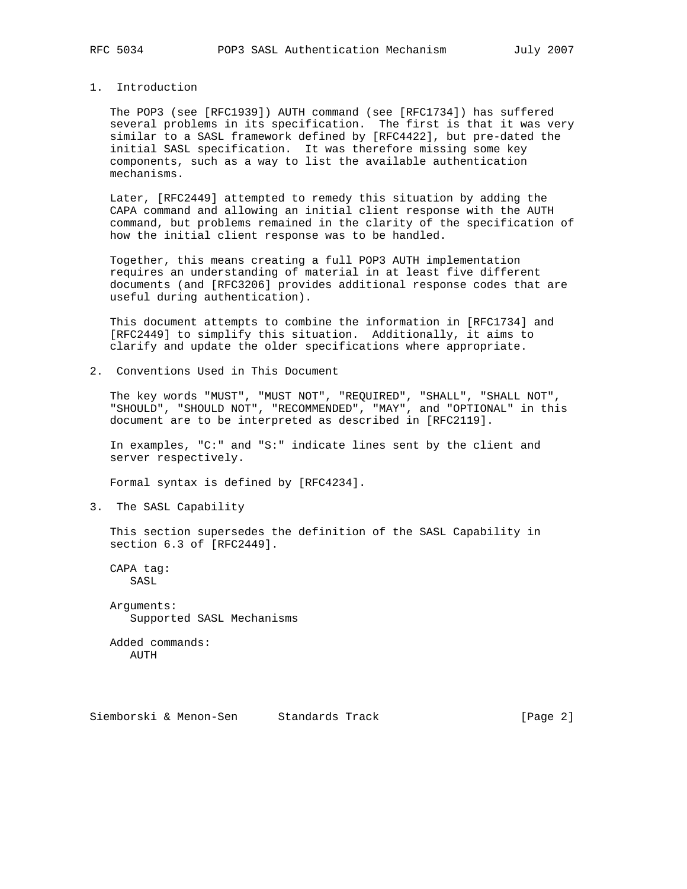#### 1. Introduction

 The POP3 (see [RFC1939]) AUTH command (see [RFC1734]) has suffered several problems in its specification. The first is that it was very similar to a SASL framework defined by [RFC4422], but pre-dated the initial SASL specification. It was therefore missing some key components, such as a way to list the available authentication mechanisms.

 Later, [RFC2449] attempted to remedy this situation by adding the CAPA command and allowing an initial client response with the AUTH command, but problems remained in the clarity of the specification of how the initial client response was to be handled.

 Together, this means creating a full POP3 AUTH implementation requires an understanding of material in at least five different documents (and [RFC3206] provides additional response codes that are useful during authentication).

 This document attempts to combine the information in [RFC1734] and [RFC2449] to simplify this situation. Additionally, it aims to clarify and update the older specifications where appropriate.

2. Conventions Used in This Document

 The key words "MUST", "MUST NOT", "REQUIRED", "SHALL", "SHALL NOT", "SHOULD", "SHOULD NOT", "RECOMMENDED", "MAY", and "OPTIONAL" in this document are to be interpreted as described in [RFC2119].

 In examples, "C:" and "S:" indicate lines sent by the client and server respectively.

Formal syntax is defined by [RFC4234].

3. The SASL Capability

 This section supersedes the definition of the SASL Capability in section 6.3 of [RFC2449].

 CAPA tag: SASL

 Arguments: Supported SASL Mechanisms

 Added commands: AUTH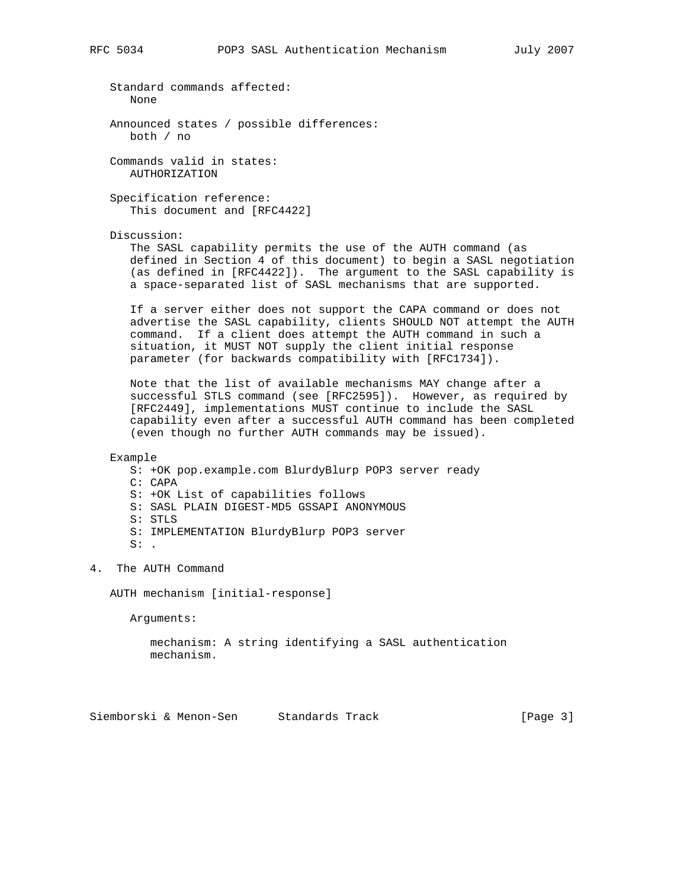Standard commands affected: None Announced states / possible differences: both / no Commands valid in states: AUTHORIZATION Specification reference: This document and [RFC4422] Discussion: The SASL capability permits the use of the AUTH command (as defined in Section 4 of this document) to begin a SASL negotiation (as defined in [RFC4422]). The argument to the SASL capability is a space-separated list of SASL mechanisms that are supported. If a server either does not support the CAPA command or does not advertise the SASL capability, clients SHOULD NOT attempt the AUTH command. If a client does attempt the AUTH command in such a situation, it MUST NOT supply the client initial response parameter (for backwards compatibility with [RFC1734]). Note that the list of available mechanisms MAY change after a successful STLS command (see [RFC2595]). However, as required by [RFC2449], implementations MUST continue to include the SASL capability even after a successful AUTH command has been completed (even though no further AUTH commands may be issued). Example S: +OK pop.example.com BlurdyBlurp POP3 server ready C: CAPA S: +OK List of capabilities follows S: SASL PLAIN DIGEST-MD5 GSSAPI ANONYMOUS S: STLS S: IMPLEMENTATION BlurdyBlurp POP3 server  $S:$  . 4. The AUTH Command AUTH mechanism [initial-response] Arguments: mechanism: A string identifying a SASL authentication

mechanism.

Siemborski & Menon-Sen Standards Track [Page 3]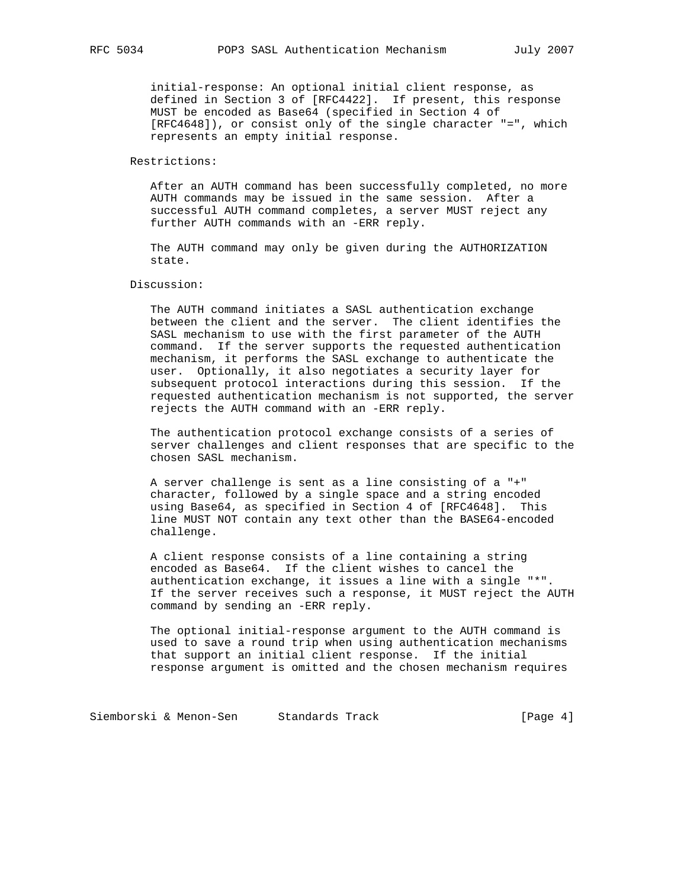initial-response: An optional initial client response, as defined in Section 3 of [RFC4422]. If present, this response MUST be encoded as Base64 (specified in Section 4 of [RFC4648]), or consist only of the single character "=", which represents an empty initial response.

### Restrictions:

 After an AUTH command has been successfully completed, no more AUTH commands may be issued in the same session. After a successful AUTH command completes, a server MUST reject any further AUTH commands with an -ERR reply.

 The AUTH command may only be given during the AUTHORIZATION state.

# Discussion:

 The AUTH command initiates a SASL authentication exchange between the client and the server. The client identifies the SASL mechanism to use with the first parameter of the AUTH command. If the server supports the requested authentication mechanism, it performs the SASL exchange to authenticate the user. Optionally, it also negotiates a security layer for subsequent protocol interactions during this session. If the requested authentication mechanism is not supported, the server rejects the AUTH command with an -ERR reply.

 The authentication protocol exchange consists of a series of server challenges and client responses that are specific to the chosen SASL mechanism.

 A server challenge is sent as a line consisting of a "+" character, followed by a single space and a string encoded using Base64, as specified in Section 4 of [RFC4648]. This line MUST NOT contain any text other than the BASE64-encoded challenge.

 A client response consists of a line containing a string encoded as Base64. If the client wishes to cancel the authentication exchange, it issues a line with a single "\*". If the server receives such a response, it MUST reject the AUTH command by sending an -ERR reply.

 The optional initial-response argument to the AUTH command is used to save a round trip when using authentication mechanisms that support an initial client response. If the initial response argument is omitted and the chosen mechanism requires

Siemborski & Menon-Sen Standards Track (Page 4)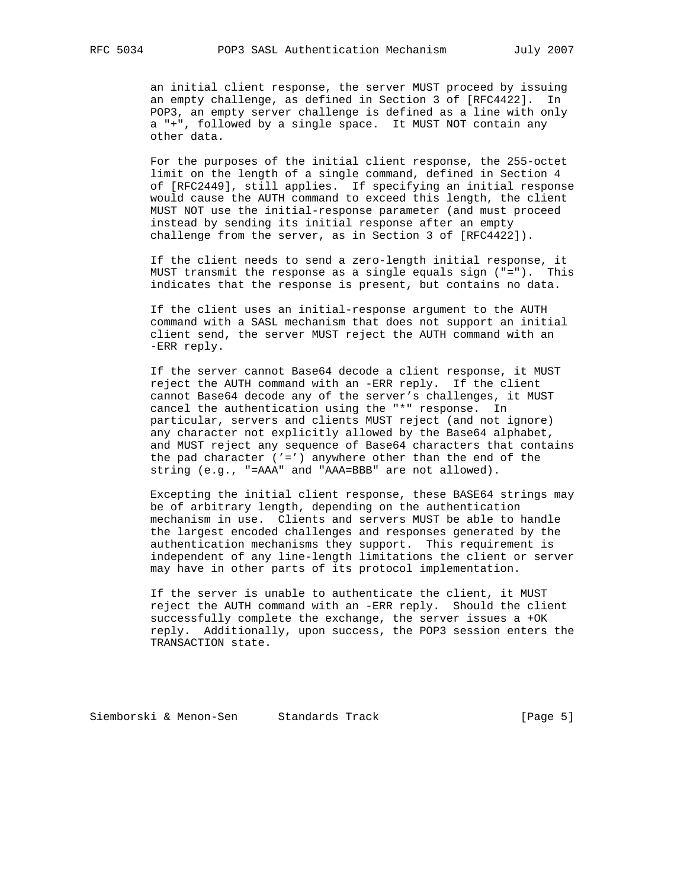an initial client response, the server MUST proceed by issuing an empty challenge, as defined in Section 3 of [RFC4422]. In POP3, an empty server challenge is defined as a line with only a "+", followed by a single space. It MUST NOT contain any other data.

 For the purposes of the initial client response, the 255-octet limit on the length of a single command, defined in Section 4 of [RFC2449], still applies. If specifying an initial response would cause the AUTH command to exceed this length, the client MUST NOT use the initial-response parameter (and must proceed instead by sending its initial response after an empty challenge from the server, as in Section 3 of [RFC4422]).

 If the client needs to send a zero-length initial response, it MUST transmit the response as a single equals sign ("="). This indicates that the response is present, but contains no data.

 If the client uses an initial-response argument to the AUTH command with a SASL mechanism that does not support an initial client send, the server MUST reject the AUTH command with an -ERR reply.

 If the server cannot Base64 decode a client response, it MUST reject the AUTH command with an -ERR reply. If the client cannot Base64 decode any of the server's challenges, it MUST cancel the authentication using the "\*" response. In particular, servers and clients MUST reject (and not ignore) any character not explicitly allowed by the Base64 alphabet, and MUST reject any sequence of Base64 characters that contains the pad character  $('=')$  anywhere other than the end of the string (e.g., "=AAA" and "AAA=BBB" are not allowed).

 Excepting the initial client response, these BASE64 strings may be of arbitrary length, depending on the authentication mechanism in use. Clients and servers MUST be able to handle the largest encoded challenges and responses generated by the authentication mechanisms they support. This requirement is independent of any line-length limitations the client or server may have in other parts of its protocol implementation.

 If the server is unable to authenticate the client, it MUST reject the AUTH command with an -ERR reply. Should the client successfully complete the exchange, the server issues a +OK reply. Additionally, upon success, the POP3 session enters the TRANSACTION state.

Siemborski & Menon-Sen Standards Track (Page 5)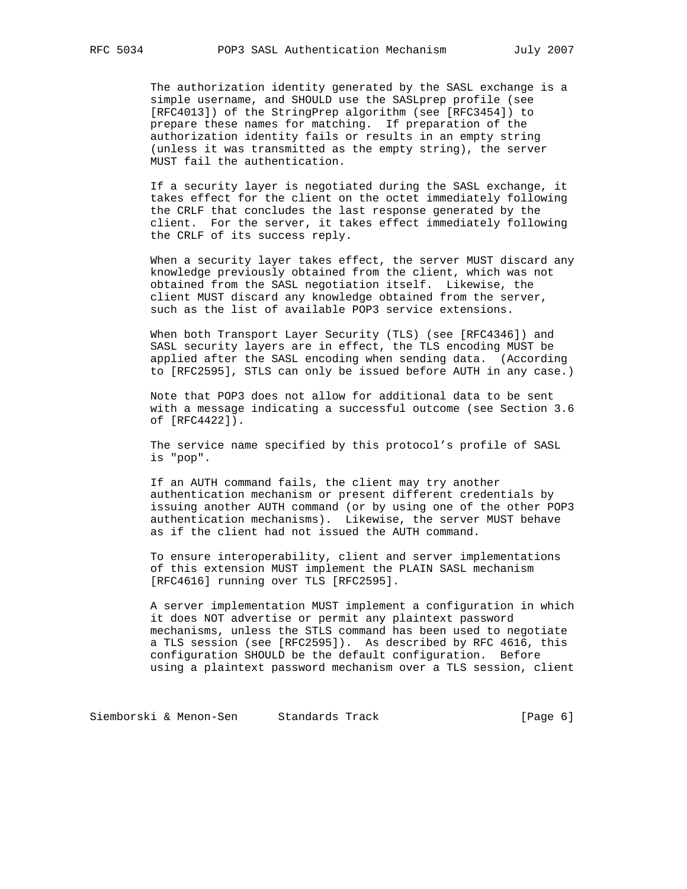The authorization identity generated by the SASL exchange is a simple username, and SHOULD use the SASLprep profile (see [RFC4013]) of the StringPrep algorithm (see [RFC3454]) to prepare these names for matching. If preparation of the authorization identity fails or results in an empty string (unless it was transmitted as the empty string), the server MUST fail the authentication.

 If a security layer is negotiated during the SASL exchange, it takes effect for the client on the octet immediately following the CRLF that concludes the last response generated by the client. For the server, it takes effect immediately following the CRLF of its success reply.

 When a security layer takes effect, the server MUST discard any knowledge previously obtained from the client, which was not obtained from the SASL negotiation itself. Likewise, the client MUST discard any knowledge obtained from the server, such as the list of available POP3 service extensions.

 When both Transport Layer Security (TLS) (see [RFC4346]) and SASL security layers are in effect, the TLS encoding MUST be applied after the SASL encoding when sending data. (According to [RFC2595], STLS can only be issued before AUTH in any case.)

 Note that POP3 does not allow for additional data to be sent with a message indicating a successful outcome (see Section 3.6 of [RFC4422]).

 The service name specified by this protocol's profile of SASL is "pop".

 If an AUTH command fails, the client may try another authentication mechanism or present different credentials by issuing another AUTH command (or by using one of the other POP3 authentication mechanisms). Likewise, the server MUST behave as if the client had not issued the AUTH command.

 To ensure interoperability, client and server implementations of this extension MUST implement the PLAIN SASL mechanism [RFC4616] running over TLS [RFC2595].

 A server implementation MUST implement a configuration in which it does NOT advertise or permit any plaintext password mechanisms, unless the STLS command has been used to negotiate a TLS session (see [RFC2595]). As described by RFC 4616, this configuration SHOULD be the default configuration. Before using a plaintext password mechanism over a TLS session, client

Siemborski & Menon-Sen Standards Track (Page 6)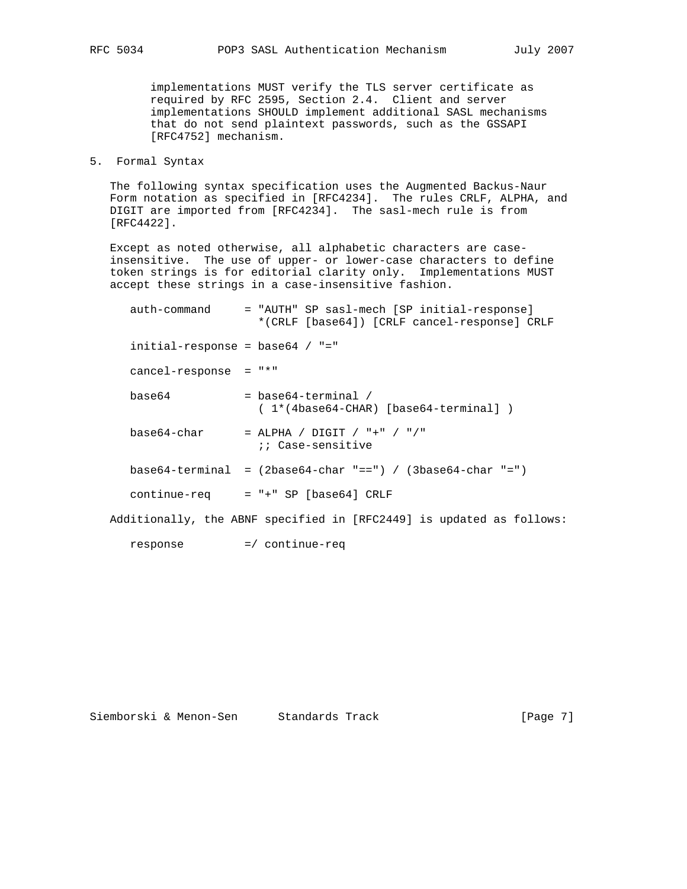implementations MUST verify the TLS server certificate as required by RFC 2595, Section 2.4. Client and server implementations SHOULD implement additional SASL mechanisms that do not send plaintext passwords, such as the GSSAPI [RFC4752] mechanism.

5. Formal Syntax

 The following syntax specification uses the Augmented Backus-Naur Form notation as specified in [RFC4234]. The rules CRLF, ALPHA, and DIGIT are imported from [RFC4234]. The sasl-mech rule is from [RFC4422].

 Except as noted otherwise, all alphabetic characters are case insensitive. The use of upper- or lower-case characters to define token strings is for editorial clarity only. Implementations MUST accept these strings in a case-insensitive fashion.

| auth-command                       | = "AUTH" SP sasl-mech [SP initial-response]<br>*(CRLF [base64]) [CRLF cancel-response] CRLF |
|------------------------------------|---------------------------------------------------------------------------------------------|
| $initial$ -response = base64 / "=" |                                                                                             |
| cancel-response                    | $=$ $" * "$                                                                                 |
| base64                             | $=$ base 64-terminal /<br>$(1*(4base64-CHAR)$ [base64-terminal])                            |
| base64-char                        | = ALPHA / DIGIT / "+" / "/"<br>:: Case-sensitive                                            |
|                                    | $base64-terminal = (2base64-char "==") / (3base64-char "==")$                               |
| continue-req                       | $= " +" SP [base64] CRIF$                                                                   |
|                                    | Additionally, the ABNF specified in [RFC2449] is updated as follows:                        |

response =/ continue-req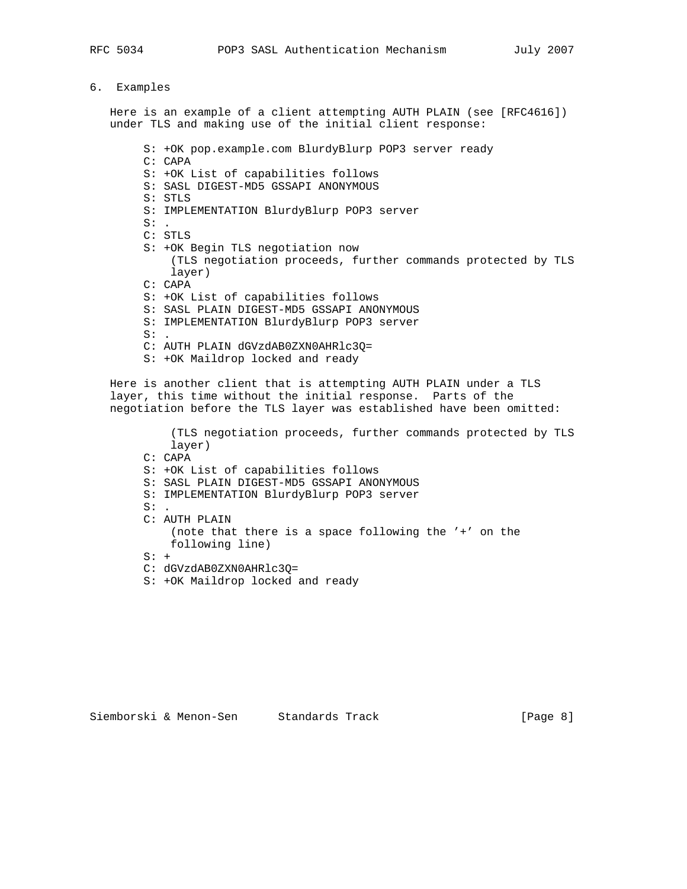# 6. Examples

 Here is an example of a client attempting AUTH PLAIN (see [RFC4616]) under TLS and making use of the initial client response:

S: +OK pop.example.com BlurdyBlurp POP3 server ready

- C: CAPA
- S: +OK List of capabilities follows
- S: SASL DIGEST-MD5 GSSAPI ANONYMOUS
- S: STLS
- S: IMPLEMENTATION BlurdyBlurp POP3 server
- $S:$ C: STLS
- S: +OK Begin TLS negotiation now (TLS negotiation proceeds, further commands protected by TLS layer) C: CAPA S: +OK List of capabilities follows S: SASL PLAIN DIGEST-MD5 GSSAPI ANONYMOUS
- S: IMPLEMENTATION BlurdyBlurp POP3 server
- $S:$ .
- C: AUTH PLAIN dGVzdAB0ZXN0AHRlc3Q=
- S: +OK Maildrop locked and ready

 Here is another client that is attempting AUTH PLAIN under a TLS layer, this time without the initial response. Parts of the negotiation before the TLS layer was established have been omitted:

 (TLS negotiation proceeds, further commands protected by TLS layer) C: CAPA S: +OK List of capabilities follows S: SASL PLAIN DIGEST-MD5 GSSAPI ANONYMOUS S: IMPLEMENTATION BlurdyBlurp POP3 server  $S:$ . C: AUTH PLAIN (note that there is a space following the '+' on the following line)  $S: +$ C: dGVzdAB0ZXN0AHRlc3Q=

- S: +OK Maildrop locked and ready
-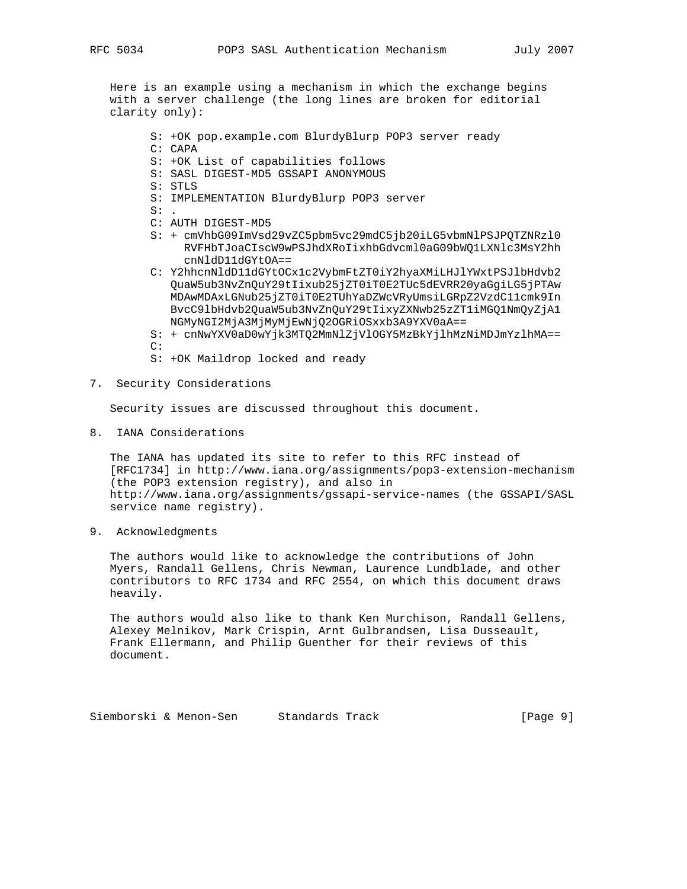Here is an example using a mechanism in which the exchange begins with a server challenge (the long lines are broken for editorial clarity only):

- S: +OK pop.example.com BlurdyBlurp POP3 server ready
- C: CAPA
- S: +OK List of capabilities follows
- S: SASL DIGEST-MD5 GSSAPI ANONYMOUS
- S: STLS
- S: IMPLEMENTATION BlurdyBlurp POP3 server
- $S:$
- C: AUTH DIGEST-MD5
- S: + cmVhbG09ImVsd29vZC5pbm5vc29mdC5jb20iLG5vbmNlPSJPQTZNRzl0 RVFHbTJoaCIscW9wPSJhdXRoIixhbGdvcml0aG09bWQ1LXNlc3MsY2hh cnNldD11dGYtOA==
- C: Y2hhcnNldD11dGYtOCx1c2VybmFtZT0iY2hyaXMiLHJlYWxtPSJlbHdvb2 QuaW5ub3NvZnQuY29tIixub25jZT0iT0E2TUc5dEVRR20yaGgiLG5jPTAw MDAwMDAxLGNub25jZT0iT0E2TUhYaDZWcVRyUmsiLGRpZ2VzdC11cmk9In BvcC9lbHdvb2QuaW5ub3NvZnQuY29tIixyZXNwb25zZT1iMGQ1NmQyZjA1 NGMyNGI2MjA3MjMyMjEwNjQ2OGRiOSxxb3A9YXV0aA==

 S: + cnNwYXV0aD0wYjk3MTQ2MmNlZjVlOGY5MzBkYjlhMzNiMDJmYzlhMA==  $C$ :

- S: +OK Maildrop locked and ready
- 7. Security Considerations

Security issues are discussed throughout this document.

8. IANA Considerations

 The IANA has updated its site to refer to this RFC instead of [RFC1734] in http://www.iana.org/assignments/pop3-extension-mechanism (the POP3 extension registry), and also in http://www.iana.org/assignments/gssapi-service-names (the GSSAPI/SASL service name registry).

9. Acknowledgments

 The authors would like to acknowledge the contributions of John Myers, Randall Gellens, Chris Newman, Laurence Lundblade, and other contributors to RFC 1734 and RFC 2554, on which this document draws heavily.

 The authors would also like to thank Ken Murchison, Randall Gellens, Alexey Melnikov, Mark Crispin, Arnt Gulbrandsen, Lisa Dusseault, Frank Ellermann, and Philip Guenther for their reviews of this document.

Siemborski & Menon-Sen Standards Track (Page 9)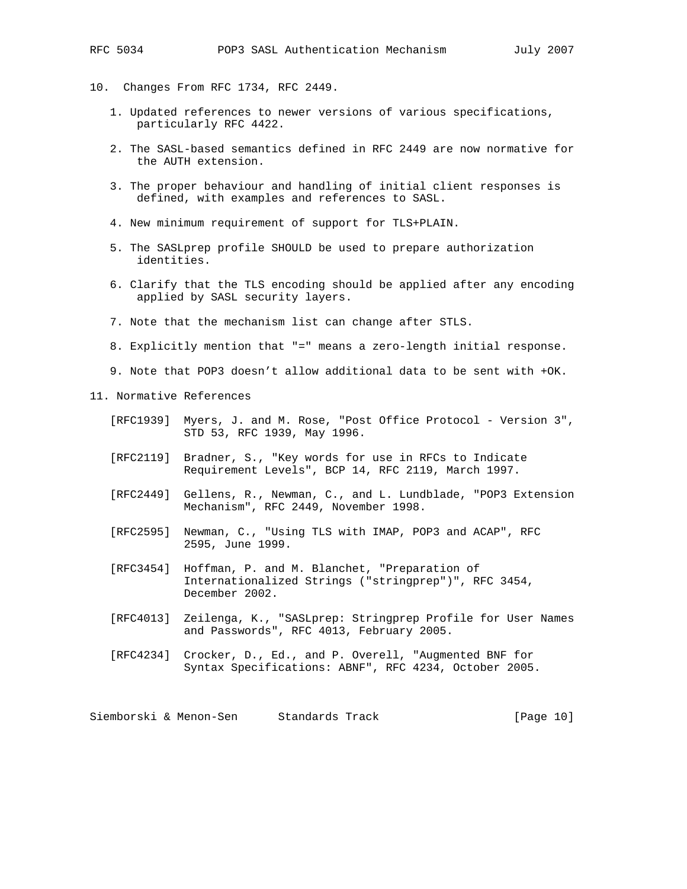- 10. Changes From RFC 1734, RFC 2449.
	- 1. Updated references to newer versions of various specifications, particularly RFC 4422.
	- 2. The SASL-based semantics defined in RFC 2449 are now normative for the AUTH extension.
	- 3. The proper behaviour and handling of initial client responses is defined, with examples and references to SASL.
	- 4. New minimum requirement of support for TLS+PLAIN.
	- 5. The SASLprep profile SHOULD be used to prepare authorization identities.
	- 6. Clarify that the TLS encoding should be applied after any encoding applied by SASL security layers.
	- 7. Note that the mechanism list can change after STLS.
	- 8. Explicitly mention that "=" means a zero-length initial response.
	- 9. Note that POP3 doesn't allow additional data to be sent with +OK.

#### 11. Normative References

- [RFC1939] Myers, J. and M. Rose, "Post Office Protocol Version 3", STD 53, RFC 1939, May 1996.
- [RFC2119] Bradner, S., "Key words for use in RFCs to Indicate Requirement Levels", BCP 14, RFC 2119, March 1997.
- [RFC2449] Gellens, R., Newman, C., and L. Lundblade, "POP3 Extension Mechanism", RFC 2449, November 1998.
- [RFC2595] Newman, C., "Using TLS with IMAP, POP3 and ACAP", RFC 2595, June 1999.
- [RFC3454] Hoffman, P. and M. Blanchet, "Preparation of Internationalized Strings ("stringprep")", RFC 3454, December 2002.
- [RFC4013] Zeilenga, K., "SASLprep: Stringprep Profile for User Names and Passwords", RFC 4013, February 2005.
- [RFC4234] Crocker, D., Ed., and P. Overell, "Augmented BNF for Syntax Specifications: ABNF", RFC 4234, October 2005.

Siemborski & Menon-Sen Standards Track [Page 10]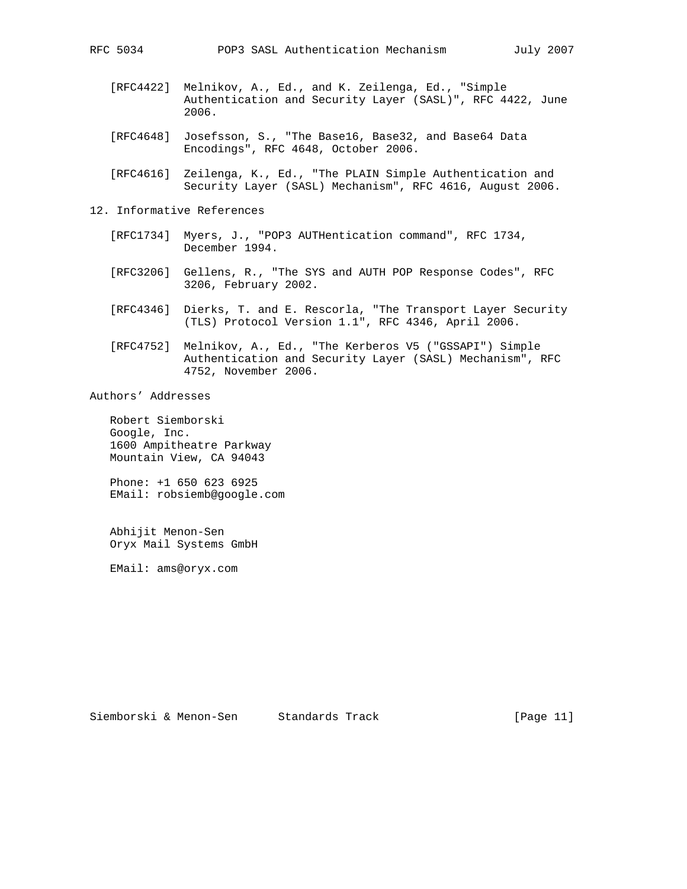- [RFC4422] Melnikov, A., Ed., and K. Zeilenga, Ed., "Simple Authentication and Security Layer (SASL)", RFC 4422, June 2006.
- [RFC4648] Josefsson, S., "The Base16, Base32, and Base64 Data Encodings", RFC 4648, October 2006.
- [RFC4616] Zeilenga, K., Ed., "The PLAIN Simple Authentication and Security Layer (SASL) Mechanism", RFC 4616, August 2006.
- 12. Informative References
	- [RFC1734] Myers, J., "POP3 AUTHentication command", RFC 1734, December 1994.
	- [RFC3206] Gellens, R., "The SYS and AUTH POP Response Codes", RFC 3206, February 2002.
	- [RFC4346] Dierks, T. and E. Rescorla, "The Transport Layer Security (TLS) Protocol Version 1.1", RFC 4346, April 2006.
	- [RFC4752] Melnikov, A., Ed., "The Kerberos V5 ("GSSAPI") Simple Authentication and Security Layer (SASL) Mechanism", RFC 4752, November 2006.

Authors' Addresses

 Robert Siemborski Google, Inc. 1600 Ampitheatre Parkway Mountain View, CA 94043

 Phone: +1 650 623 6925 EMail: robsiemb@google.com

 Abhijit Menon-Sen Oryx Mail Systems GmbH

EMail: ams@oryx.com